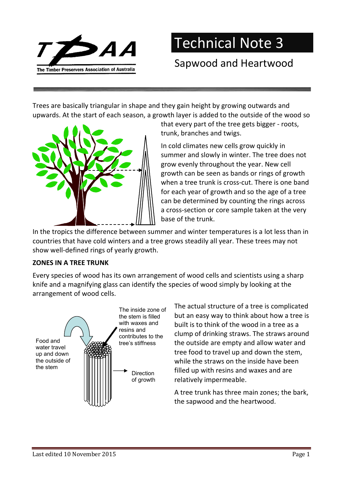

Technical Note 3

## Sapwood and Heartwood

Trees are basically triangular in shape and they gain height by growing outwards and upwards. At the start of each season, a growth layer is added to the outside of the wood so



that every part of the tree gets bigger - roots, trunk, branches and twigs.

In cold climates new cells grow quickly in summer and slowly in winter. The tree does not grow evenly throughout the year. New cell growth can be seen as bands or rings of growth when a tree trunk is cross-cut. There is one band for each year of growth and so the age of a tree can be determined by counting the rings across a cross-section or core sample taken at the very base of the trunk.

In the tropics the difference between summer and winter temperatures is a lot less than in countries that have cold winters and a tree grows steadily all year. These trees may not show well-defined rings of yearly growth.

## ZONES IN A TREE TRUNK

Every species of wood has its own arrangement of wood cells and scientists using a sharp knife and a magnifying glass can identify the species of wood simply by looking at the arrangement of wood cells.



The actual structure of a tree is complicated but an easy way to think about how a tree is built is to think of the wood in a tree as a clump of drinking straws. The straws around the outside are empty and allow water and tree food to travel up and down the stem, while the straws on the inside have been filled up with resins and waxes and are relatively impermeable.

A tree trunk has three main zones; the bark, the sapwood and the heartwood.